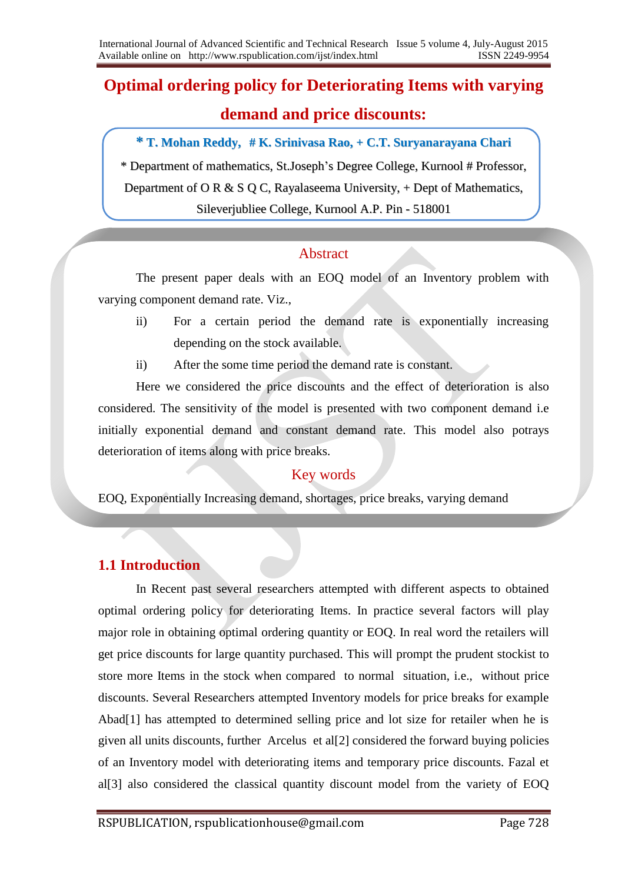# **Optimal ordering policy for Deteriorating Items with varying demand and price discounts:**

**\* T. Mohan Reddy, # K. Srinivasa Rao, + C.T. Suryanarayana Chari**

\* Department of mathematics, St.Joseph's Degree College, Kurnool # Professor,

Department of O R & S Q C, Rayalaseema University,  $+$  Dept of Mathematics,

Sileverjubliee College, Kurnool A.P. Pin - 518001

## Abstract

The present paper deals with an EOQ model of an Inventory problem with varying component demand rate. Viz.,

- ii) For a certain period the demand rate is exponentially increasing depending on the stock available.
- ii) After the some time period the demand rate is constant.

Here we considered the price discounts and the effect of deterioration is also considered. The sensitivity of the model is presented with two component demand i.e initially exponential demand and constant demand rate. This model also potrays deterioration of items along with price breaks.

## Key words

EOQ, Exponentially Increasing demand, shortages, price breaks, varying demand

## **1.1 Introduction**

In Recent past several researchers attempted with different aspects to obtained optimal ordering policy for deteriorating Items. In practice several factors will play major role in obtaining optimal ordering quantity or EOQ. In real word the retailers will get price discounts for large quantity purchased. This will prompt the prudent stockist to store more Items in the stock when compared to normal situation, i.e., without price discounts. Several Researchers attempted Inventory models for price breaks for example Abad[1] has attempted to determined selling price and lot size for retailer when he is given all units discounts, further Arcelus et al[2] considered the forward buying policies of an Inventory model with deteriorating items and temporary price discounts. Fazal et al[3] also considered the classical quantity discount model from the variety of EOQ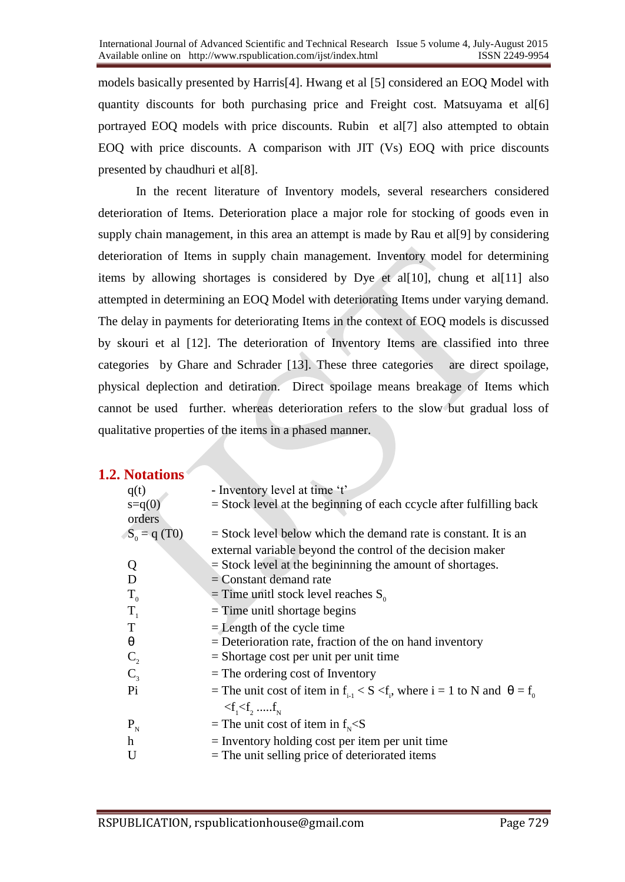models basically presented by Harris[4]. Hwang et al [5] considered an EOQ Model with quantity discounts for both purchasing price and Freight cost. Matsuyama et al[6] portrayed EOQ models with price discounts. Rubin et al[7] also attempted to obtain EOQ with price discounts. A comparison with JIT (Vs) EOQ with price discounts presented by chaudhuri et al[8].

In the recent literature of Inventory models, several researchers considered deterioration of Items. Deterioration place a major role for stocking of goods even in supply chain management, in this area an attempt is made by Rau et all [9] by considering deterioration of Items in supply chain management. Inventory model for determining items by allowing shortages is considered by Dye et al[10], chung et al[11] also attempted in determining an EOQ Model with deteriorating Items under varying demand. The delay in payments for deteriorating Items in the context of EOQ models is discussed by skouri et al [12]. The deterioration of Inventory Items are classified into three categories by Ghare and Schrader [13]. These three categories are direct spoilage, physical deplection and detiration. Direct spoilage means breakage of Items which cannot be used further. whereas deterioration refers to the slow but gradual loss of qualitative properties of the items in a phased manner.

### **1.2. Notations**

| - Inventory level at time 't'                                                                          |
|--------------------------------------------------------------------------------------------------------|
| $=$ Stock level at the beginning of each ccycle after fulfilling back                                  |
|                                                                                                        |
| $=$ Stock level below which the demand rate is constant. It is an                                      |
| external variable beyond the control of the decision maker                                             |
| $=$ Stock level at the beginining the amount of shortages.                                             |
| $=$ Constant demand rate                                                                               |
| = Time unitl stock level reaches $S_0$                                                                 |
| $=$ Time unitl shortage begins                                                                         |
| $=$ Length of the cycle time                                                                           |
| $=$ Deterioration rate, fraction of the on hand inventory                                              |
| $=$ Shortage cost per unit per unit time                                                               |
| $=$ The ordering cost of Inventory                                                                     |
| = The unit cost of item in f <sub>i-1</sub> < S < f <sub>i</sub> , where i = 1 to N and $\theta = f_0$ |
| $\langle f_1 \langle f_2, \dots, f_n \rangle$                                                          |
| = The unit cost of item in $f_{N}$ <s< td=""></s<>                                                     |
| $=$ Inventory holding cost per item per unit time                                                      |
| $=$ The unit selling price of deteriorated items                                                       |
|                                                                                                        |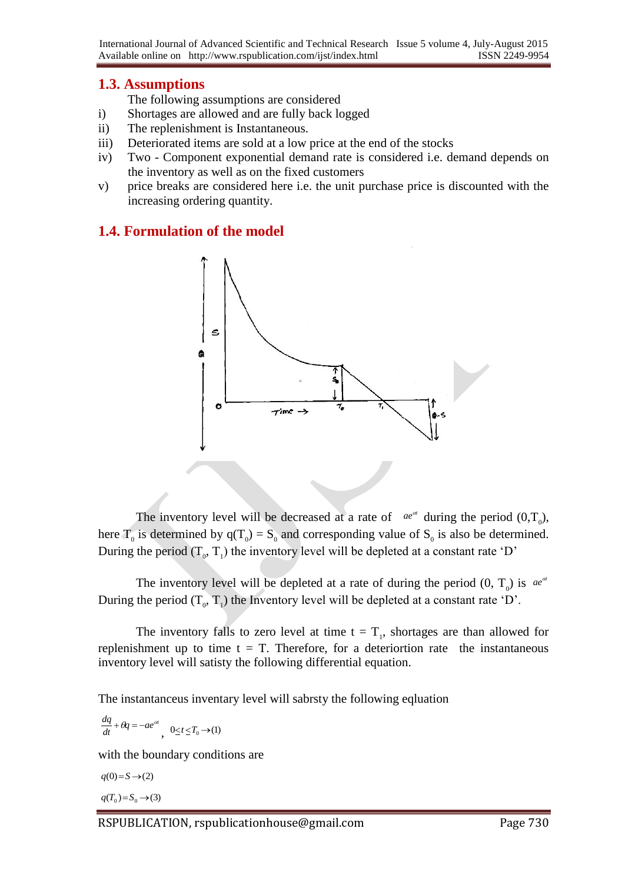## **1.3. Assumptions**

The following assumptions are considered

- i) Shortages are allowed and are fully back logged
- ii) The replenishment is Instantaneous.
- iii) Deteriorated items are sold at a low price at the end of the stocks
- iv) Two Component exponential demand rate is considered i.e. demand depends on the inventory as well as on the fixed customers
- v) price breaks are considered here i.e. the unit purchase price is discounted with the increasing ordering quantity.

## **1.4. Formulation of the model**



The inventory level will be decreased at a rate of  $ae^{at}$  during the period  $(0, T_0)$ , here  $T_0$  is determined by  $q(T_0) = S_0$  and corresponding value of  $S_0$  is also be determined. During the period  $(T_0, T_1)$  the inventory level will be depleted at a constant rate 'D'

The inventory level will be depleted at a rate of during the period  $(0, T_0)$  is  $ae^{at}$ During the period  $(T_0, T_1)$  the Inventory level will be depleted at a constant rate 'D'.

The inventory falls to zero level at time  $t = T_1$ , shortages are than allowed for replenishment up to time  $t = T$ . Therefore, for a deteriortion rate the instantaneous inventory level will satisty the following differential equation.

The instantanceus inventary level will sabrsty the following eqluation

$$
\frac{dq}{dt} + \theta q = -ae^{\alpha t}, \quad 0 \le t \le T_0 \to (1)
$$

with the boundary conditions are

$$
q(0)=S \rightarrow (2)
$$
  

$$
q(T_0)=S_0 \rightarrow (3)
$$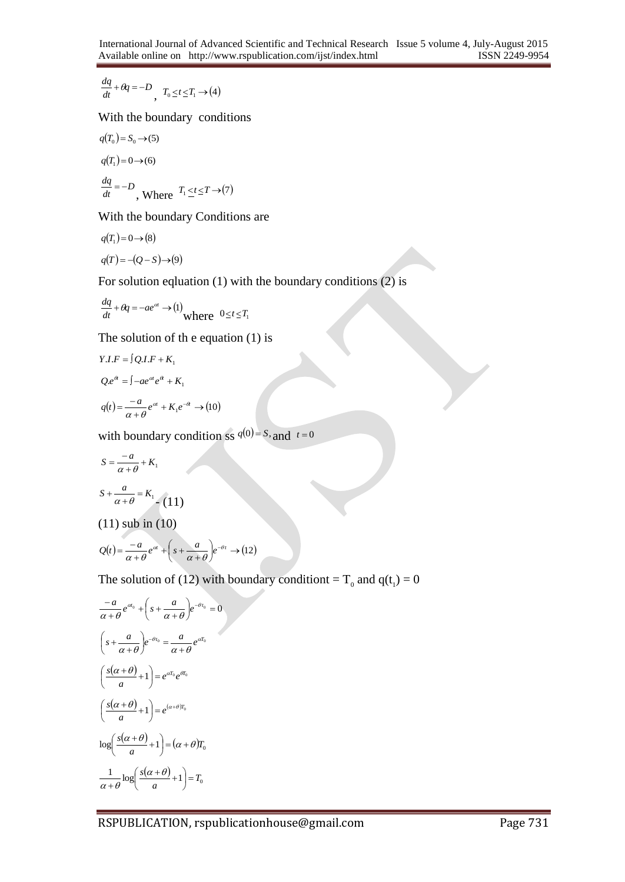$$
\frac{dq}{dt} + \theta q = -D, \quad T_0 \le t \le T_1 \to (4)
$$

With the boundary conditions

$$
q(T_0) = S_0 \rightarrow (5)
$$
  
\n
$$
q(T_1) = 0 \rightarrow (6)
$$
  
\n
$$
\frac{dq}{dt} = -D
$$
, Where  $T_1 \le t \le T \rightarrow (7)$ 

With the boundary Conditions are

$$
q(T_1) = 0 \rightarrow (8)
$$
  
 
$$
q(T) = -(Q - S) \rightarrow (9)
$$

For solution eqluation (1) with the boundary conditions (2) is

$$
\frac{dq}{dt} + \theta q = -ae^{\alpha} \rightarrow (1)
$$
where  $0 \le t \le T_1$ 

The solution of th e equation (1) is

$$
Y.I.F = \int Q.I.F + K_1
$$
  
\n
$$
Qe^{a} = \int -ae^{a}e^{a} + K_1
$$
  
\n
$$
q(t) = \frac{-a}{\alpha + \theta}e^{a} + K_1e^{-a} \rightarrow (10)
$$

with boundary condition ss  $q(0) = S$ , and  $t = 0$ 

$$
S = \frac{-a}{\alpha + \theta} + K_1
$$
  

$$
S + \frac{a}{\alpha + \theta} = K_1
$$
  
(11) sub in (10)

$$
Q(t) = \frac{-a}{\alpha + \theta} e^{\alpha t} + \left(s + \frac{a}{\alpha + \theta}\right) e^{-\theta t} \rightarrow (12)
$$

 $\overline{\phantom{a}}$ 

The solution of (12) with boundary conditiont =  $T_0$  and  $q(t_1) = 0$ 

$$
\frac{-a}{\alpha + \theta} e^{\alpha_0} + \left(s + \frac{a}{\alpha + \theta}\right) e^{-\theta t_0} = 0
$$
\n
$$
\left(s + \frac{a}{\alpha + \theta}\right) e^{-\theta t_0} = \frac{a}{\alpha + \theta} e^{\alpha t_0}
$$
\n
$$
\left(\frac{s(\alpha + \theta)}{a} + 1\right) = e^{\alpha t_0} e^{\theta t_0}
$$
\n
$$
\left(\frac{s(\alpha + \theta)}{a} + 1\right) = e^{(\alpha + \theta) t_0}
$$
\n
$$
\log\left(\frac{s(\alpha + \theta)}{a} + 1\right) = (\alpha + \theta) t_0
$$
\n
$$
\frac{1}{\alpha + \theta} \log\left(\frac{s(\alpha + \theta)}{a} + 1\right) = T_0
$$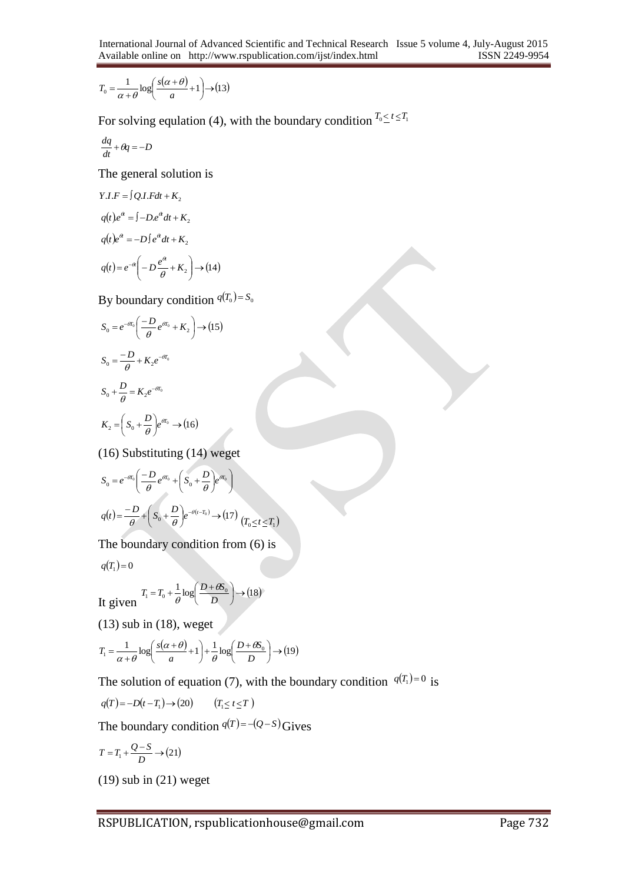$$
T_0 = \frac{1}{\alpha + \theta} \log \left( \frac{s(\alpha + \theta)}{a} + 1 \right) \to (13)
$$

For solving equlation (4), with the boundary condition  $T_0 \le t \le T_1$ 

$$
\frac{dq}{dt} + \theta q = -D
$$

The general solution is

$$
Y.I.F = \int Q.I.Fdt + K_2
$$
  
\n
$$
q(t)e^{a} = \int -D.e^{a} dt + K_2
$$
  
\n
$$
q(t)e^{a} = -D\int e^{a} dt + K_2
$$
  
\n
$$
q(t) = e^{-a}\left(-D\frac{e^{a}}{\theta} + K_2\right) \rightarrow (14)
$$

By boundary condition  $q(T_0) = S_0$ 

$$
S_0 = e^{-\theta T_0} \left( \frac{-D}{\theta} e^{\theta T_0} + K_2 \right) \rightarrow (15)
$$
  
\n
$$
S_0 = \frac{-D}{\theta} + K_2 e^{-\theta T_0}
$$
  
\n
$$
S_0 + \frac{D}{\theta} = K_2 e^{-\theta T_0}
$$
  
\n
$$
K_2 = \left( S_0 + \frac{D}{\theta} \right) e^{\theta T_0} \rightarrow (16)
$$

(16) Substituting (14) weget

$$
S_0 = e^{-\theta T_0} \left( \frac{-D}{\theta} e^{\theta T_0} + \left( S_0 + \frac{D}{\theta} \right) e^{\theta T_0} \right)
$$
  

$$
q(t) = \frac{-D}{\theta} + \left( S_0 + \frac{D}{\theta} \right) e^{-\theta (t - T_0)} \rightarrow (17) \left( T_0 \le t \le T_1 \right)
$$

The boundary condition from (6) is

$$
q\big(T_{1}\big)\!=\!0
$$

It given 
$$
T_1 = T_0 + \frac{1}{\theta} \log \left( \frac{D + \theta S_0}{D} \right) \rightarrow (18)
$$

 $(13)$  sub in  $(18)$ , weget

$$
T_1 = \frac{1}{\alpha + \theta} \log \left( \frac{s(\alpha + \theta)}{a} + 1 \right) + \frac{1}{\theta} \log \left( \frac{D + \theta S_0}{D} \right) \rightarrow (19)
$$

The solution of equation (7), with the boundary condition  $q(T_1) = 0$  is

$$
q(T) = -D(t - T_1) \rightarrow (20) \qquad (T_1 \le t \le T)
$$

The boundary condition  $q(T) = -(Q - S)$  Gives

$$
T = T_1 + \frac{Q - S}{D} \rightarrow (21)
$$

(19) sub in (21) weget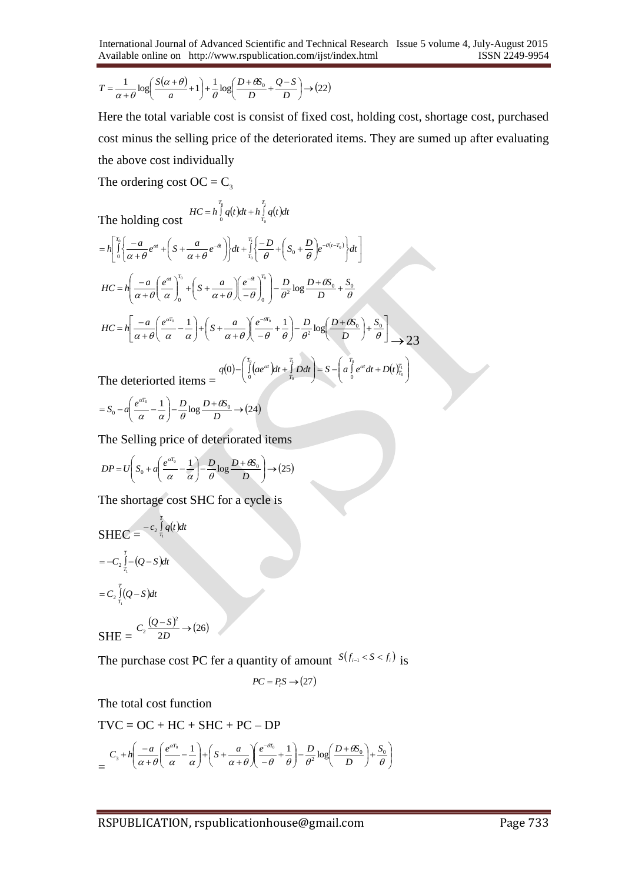$$
T = \frac{1}{\alpha + \theta} \log \left( \frac{S(\alpha + \theta)}{a} + 1 \right) + \frac{1}{\theta} \log \left( \frac{D + \theta S_0}{D} + \frac{Q - S}{D} \right) \rightarrow (22)
$$

Here the total variable cost is consist of fixed cost, holding cost, shortage cost, purchased cost minus the selling price of the deteriorated items. They are sumed up after evaluating the above cost individually

> $\overline{\phantom{a}}$ L

J

0

*T*

J

The ordering cost OC =  $C_3$ 

The holding cost  $HC = h \int_{0}^{T_0} q(t) dt + h \int_{T_0}^{T_1} q(t) dt$ *T*  $T_0$   $T_1$ 0 0  $= h \int\limits_0^{\infty} q(t) dt + h \int\limits_{T_0}^{\infty}$ 

$$
=h\left[\int_{0}^{T_{0}}\left\{\frac{-a}{\alpha+\theta}e^{\alpha}+\left(S+\frac{a}{\alpha+\theta}e^{-\alpha}\right)\right\}dt+\int_{T_{0}}^{T_{1}}\left\{\frac{-D}{\theta}+\left(S_{0}+\frac{D}{\theta}\right)e^{-\theta(t-T_{0})}\right\}dt\right]
$$
  
\n
$$
HC=h\left(\frac{-a}{\alpha+\theta}\left(\frac{e^{\alpha}}{\alpha}\right)^{T_{0}}+\left(S+\frac{a}{\alpha+\theta}\right)\left(\frac{e^{-\theta}}{\theta}\right)^{T_{0}}\right)-\frac{D}{\theta^{2}}\log\frac{D+\theta S_{0}}{D}+\frac{S_{0}}{\theta}
$$
  
\n
$$
HC=h\left[\frac{-a}{\alpha+\theta}\left(\frac{e^{\alpha T_{0}}}{\alpha}-\frac{1}{\alpha}\right)+\left(S+\frac{a}{\alpha+\theta}\right)\left(\frac{e^{-\theta T_{0}}}{-\theta}+\frac{1}{\theta}\right)-\frac{D}{\theta^{2}}\log\left(\frac{D+\theta S_{0}}{D}\right)+\frac{S_{0}}{\theta}\right]
$$
  
\n
$$
q(0)-\left(\int_{0}^{T_{0}}(ae^{\alpha})dt+\int_{t_{0}}^{T_{1}}Ddt\right)=S-\left(a\int_{0}^{T_{0}}e^{\alpha}dt+D(t)\right)_{t_{0}}^{T_{1}}\right)
$$

The deteriorted items =  $(0)$   $\left| \int\limits_{0}^{1} (ae^{at})dt + \int\limits_{T_a} Ddt \right| = S - \left| a \int\limits_{0}^{1} e^{at} dt + D(t)_{T_0}^{T_1} \right|$  $\overline{\phantom{a}}$ L

$$
= S_0 - a \left( \frac{e^{\alpha T_0}}{\alpha} - \frac{1}{\alpha} \right) - \frac{D}{\theta} \log \frac{D + \theta S_0}{D} \rightarrow (24)
$$

The Selling price of deteriorated items

$$
DP = U\left(S_0 + a\left(\frac{e^{aT_0}}{\alpha} - \frac{1}{\alpha}\right) - \frac{D}{\theta}\log\frac{D + \theta S_0}{D}\right) \rightarrow (25)
$$

The shortage cost SHC for a cycle is

$$
\begin{aligned} \text{SHEC} &= \frac{-c_2 \int_{\tau_1}^T q(t) dt}{\tau_1} \\ &= -C_2 \int_{\tau_1}^T (Q - S) dt \\ &= C_2 \int_{\tau_1}^T (Q - S) dt \\ \text{SHE} &= \frac{C_2 \frac{(Q - S)^2}{2D} \rightarrow (26)}{2D} \end{aligned}
$$

The purchase cost PC fer a quantity of amount  $S(f_{i-1} < S < f_i)$  is

$$
PC = P_i S \rightarrow (27)
$$

The total cost function

$$
TVC = OC + HC + SHC + PC - DP
$$

$$
= \frac{C_3 + h \left(\frac{-a}{\alpha + \theta} \left(\frac{e^{\alpha T_0}}{\alpha} - \frac{1}{\alpha}\right) + \left(S + \frac{a}{\alpha + \theta} \left(\frac{e^{-\theta T_0}}{-\theta} + \frac{1}{\theta}\right) - \frac{D}{\theta^2} \log\left(\frac{D + \theta S_0}{D}\right) + \frac{S_0}{\theta}\right)}{}
$$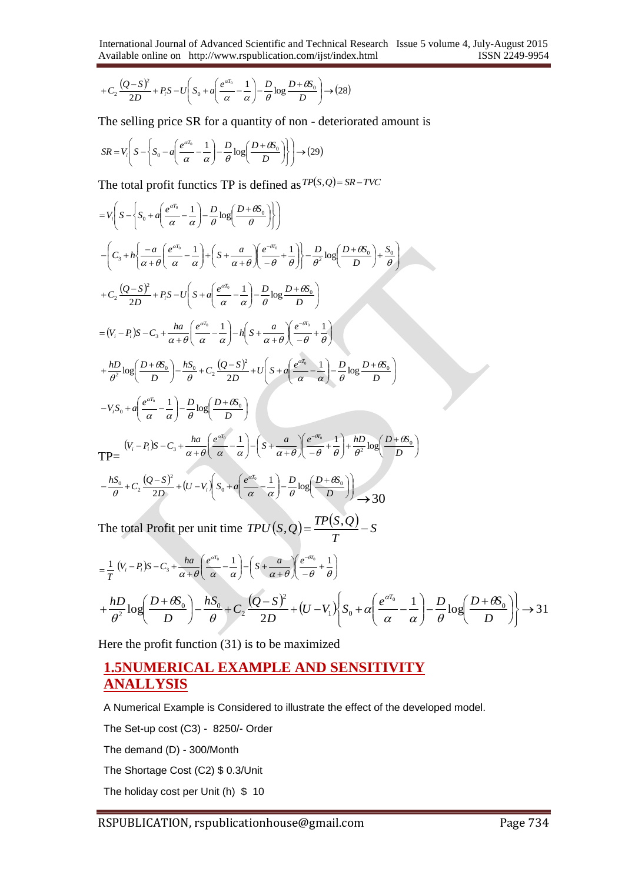$$
+C_2\frac{(Q-S)^2}{2D}+P_iS-U\left(S_0+a\left(\frac{e^{aT_0}}{\alpha}-\frac{1}{\alpha}\right)-\frac{D}{\theta}\log\frac{D+\theta S_0}{D}\right)\to(28)
$$

The selling price SR for a quantity of non - deteriorated amount is

$$
SR = V_i \left( S - \left\{ S_0 - a \left( \frac{e^{aT_0}}{\alpha} - \frac{1}{\alpha} \right) - \frac{D}{\theta} \log \left( \frac{D + \theta S_0}{D} \right) \right\} \right) \rightarrow (29)
$$

The total profit functics TP is defined as  $TP(S,Q) = SR - TVC$ 

$$
=V_{1}\left(S-\left(S_{0}+a\left(\frac{e^{at_{0}}}{\alpha}-\frac{1}{\alpha}\right)-\frac{D}{\theta}\log\left(\frac{D+\theta S_{0}}{\theta}\right)\right)\right)
$$
  

$$
-\left(C_{3}+h\left(\frac{-a}{\alpha+\theta}\left(\frac{e^{at_{0}}}{\alpha}-\frac{1}{\alpha}\right)+\left(S+\frac{a}{\alpha+\theta}\left(\frac{e^{-at_{0}}}{\theta}-\frac{1}{\theta}\right)\right)-\frac{D}{\theta^{2}}\log\left(\frac{D+\theta S_{0}}{D}\right)+\frac{S_{0}}{\theta}\right)
$$
  

$$
+C_{2}\frac{(Q-S)^{2}}{2D}+P_{1}S-U\left(S+a\left(\frac{e^{at_{0}}}{\alpha}-\frac{1}{\alpha}\right)-\frac{D}{\theta}\log\frac{D+\theta S_{0}}{D}\right)
$$
  

$$
=(V_{i}-P_{i})S-C_{3}+\frac{ha}{\alpha+\theta}\left(\frac{e^{at_{0}}}{\alpha}-\frac{1}{\alpha}\right)-h\left(S+\frac{a}{\alpha+\theta}\left(\frac{e^{-at_{0}}}{\theta}-\frac{1}{\theta}\right)-\frac{D}{\theta}\log\frac{D+\theta S_{0}}{D}\right)
$$
  

$$
+\frac{hD}{\theta^{2}}\log\left(\frac{D+\theta S_{0}}{D}\right)-\frac{hS_{0}}{\theta}+C_{2}\frac{(Q-S)^{2}}{2D}+U\left(S+a\left(\frac{e^{at_{0}}}{\alpha}-\frac{1}{\alpha}\right)-\frac{D}{\theta}\log\frac{D+\theta S_{0}}{D}\right)
$$
  

$$
-V_{1}S_{0}+a\left(\frac{e^{at_{0}}}{\alpha}-\frac{1}{\alpha}\right)-\frac{D}{\theta}\log\left(\frac{D+\theta S_{0}}{D}\right)
$$
  

$$
TP=\frac{(V_{i}-P_{i})S-C_{3}+\frac{ha}{\alpha+\theta}\left(\frac{e^{at_{0}}}{\alpha}-\frac{1}{\alpha}\right)-\left(S+\frac{a}{\alpha+\theta}\left(\frac{e^{-at_{0}}}{\theta}+\frac{1}{\theta}\right)+\frac{hD}{\theta^{2}}\log\left(\frac{D+\theta S_{0}}{D}\right)\right)
$$
  

$$
-\frac{hS_{0}}{\theta}+C_{2}\frac{(Q-S
$$

$$
= \frac{1}{T} \left( V_i - P_i \right) S - C_3 + \frac{ha}{\alpha + \theta} \left( \frac{e^{\alpha T_0}}{\alpha} - \frac{1}{\alpha} \right) - \left( S + \frac{a}{\alpha + \theta} \right) \left( \frac{e^{-\theta T_0}}{-\theta} + \frac{1}{\theta} \right)
$$
  
+ 
$$
\frac{hD}{\theta^2} \log \left( \frac{D + \theta S_0}{D} \right) - \frac{hS_0}{\theta} + C_2 \frac{\left( Q - S \right)^2}{2D} + \left( U - V_1 \right) \left( S_0 + \alpha \left( \frac{e^{\alpha T_0}}{\alpha} - \frac{1}{\alpha} \right) - \frac{D}{\theta} \log \left( \frac{D + \theta S_0}{D} \right) \right) \to 31
$$

Here the profit function (31) is to be maximized

## **1.5NUMERICAL EXAMPLE AND SENSITIVITY ANALLYSIS**

A Numerical Example is Considered to illustrate the effect of the developed model.

The Set-up cost (C3) - 8250/- Order

The demand (D) - 300/Month

The Shortage Cost (C2) \$ 0.3/Unit

The holiday cost per Unit (h) \$ 10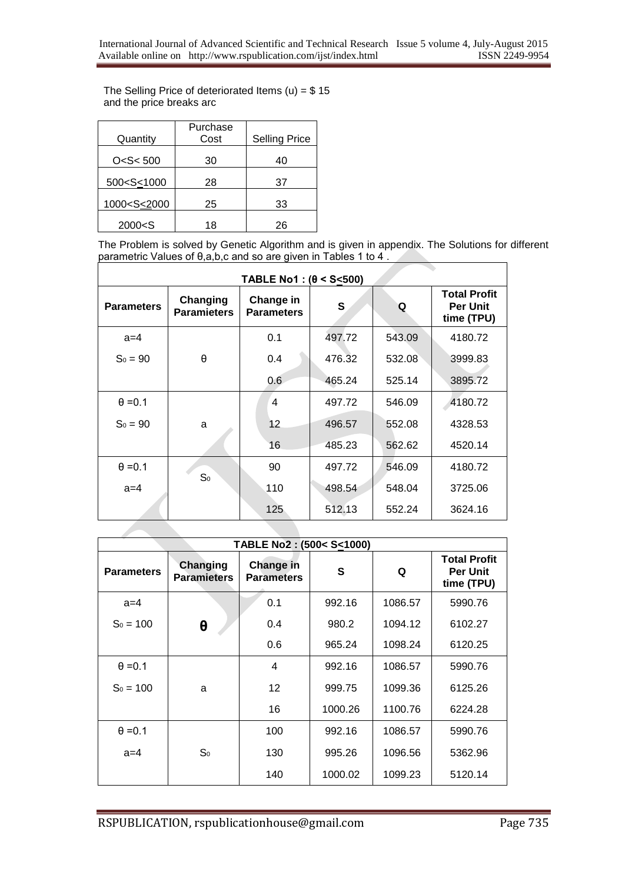The Selling Price of deteriorated Items (u) =  $$15$ and the price breaks arc

|                                                      | Purchase<br>Cost |                      |
|------------------------------------------------------|------------------|----------------------|
| Quantity                                             |                  | <b>Selling Price</b> |
| O < S < 500                                          | 30               | 40                   |
| 500 <s<1000< td=""><td>28</td><td>37</td></s<1000<>  | 28               | 37                   |
| 1000 <s<2000< td=""><td>25</td><td>33</td></s<2000<> | 25               | 33                   |
| 2000 < S                                             | 18               | 26                   |

The Problem is solved by Genetic Algorithm and is given in appendix. The Solutions for different parametric Values of θ,a,b,c and so are given in Tables 1 to 4 .

|                   |                                | $TABLE No1: (\theta \leq S \leq 500)$ |        |        |                                                      |
|-------------------|--------------------------------|---------------------------------------|--------|--------|------------------------------------------------------|
| <b>Parameters</b> | Changing<br><b>Paramieters</b> | Change in<br><b>Parameters</b>        | S      | Q      | <b>Total Profit</b><br><b>Per Unit</b><br>time (TPU) |
| $a=4$             |                                | 0.1                                   | 497.72 | 543.09 | 4180.72                                              |
| $S_0 = 90$        | θ                              | 0.4                                   | 476.32 | 532.08 | 3999.83                                              |
|                   |                                | 0.6                                   | 465.24 | 525.14 | 3895.72                                              |
| $\theta = 0.1$    |                                | 4                                     | 497.72 | 546.09 | 4180.72                                              |
| $S_0 = 90$        | a                              | 12                                    | 496.57 | 552.08 | 4328.53                                              |
|                   |                                | 16                                    | 485.23 | 562.62 | 4520.14                                              |
| $\theta = 0.1$    | S <sub>0</sub>                 | 90                                    | 497.72 | 546.09 | 4180.72                                              |
| $a=4$             |                                | 110                                   | 498.54 | 548.04 | 3725.06                                              |
|                   |                                | 125                                   | 512.13 | 552.24 | 3624.16                                              |
|                   |                                |                                       |        |        |                                                      |

| TABLE No2: (500< S<1000) |                                |                                |         |         |                                                      |
|--------------------------|--------------------------------|--------------------------------|---------|---------|------------------------------------------------------|
| <b>Parameters</b>        | Changing<br><b>Paramieters</b> | Change in<br><b>Parameters</b> | S       | Q       | <b>Total Profit</b><br><b>Per Unit</b><br>time (TPU) |
| $a=4$                    |                                | 0.1                            | 992.16  | 1086.57 | 5990.76                                              |
| $S_0 = 100$              | θ                              | 0.4                            | 980.2   | 1094.12 | 6102.27                                              |
|                          |                                | 0.6                            | 965.24  | 1098.24 | 6120.25                                              |
| $\theta = 0.1$           |                                | 4                              | 992.16  | 1086.57 | 5990.76                                              |
| $S_0 = 100$              | a                              | 12                             | 999.75  | 1099.36 | 6125.26                                              |
|                          |                                | 16                             | 1000.26 | 1100.76 | 6224.28                                              |
| $\theta = 0.1$           |                                | 100                            | 992.16  | 1086.57 | 5990.76                                              |
| $a=4$                    | S <sub>0</sub>                 | 130                            | 995.26  | 1096.56 | 5362.96                                              |
|                          |                                | 140                            | 1000.02 | 1099.23 | 5120.14                                              |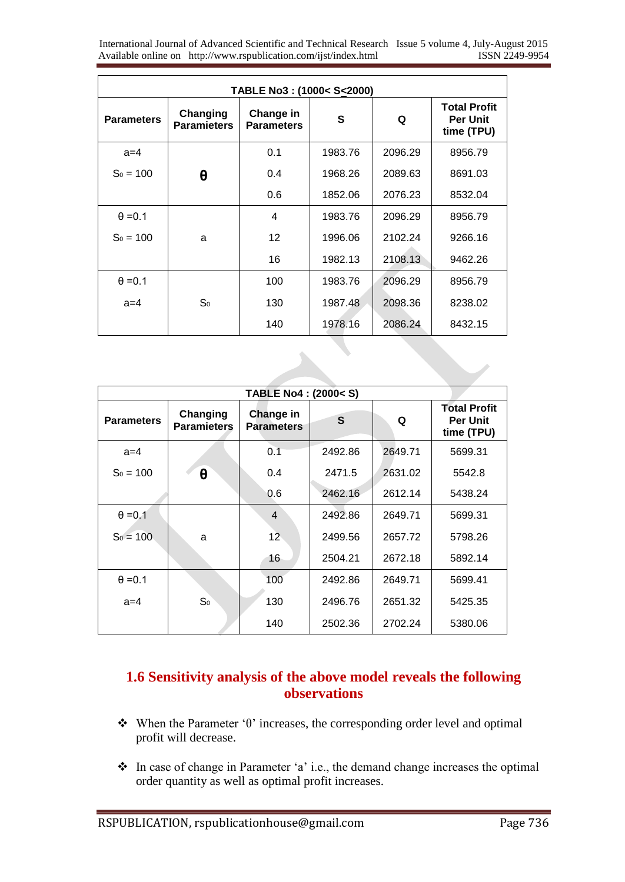International Journal of Advanced Scientific and Technical Research Issue 5 volume 4, July-August 2015 Available online on http://www.rspublication.com/ijst/index.html ISSN 2249-9954

| TABLE No3: (1000< S<2000) |                                |                                |         |         |                                                      |
|---------------------------|--------------------------------|--------------------------------|---------|---------|------------------------------------------------------|
| <b>Parameters</b>         | Changing<br><b>Paramieters</b> | Change in<br><b>Parameters</b> | S       | Q       | <b>Total Profit</b><br><b>Per Unit</b><br>time (TPU) |
| $a=4$                     |                                | 0.1                            | 1983.76 | 2096.29 | 8956.79                                              |
| $S_0 = 100$               | θ                              | 0.4                            | 1968.26 | 2089.63 | 8691.03                                              |
|                           |                                | 0.6                            | 1852.06 | 2076.23 | 8532.04                                              |
| $\theta = 0.1$            |                                | 4                              | 1983.76 | 2096.29 | 8956.79                                              |
| $S_0 = 100$               | a                              | 12                             | 1996.06 | 2102.24 | 9266.16                                              |
|                           |                                | 16                             | 1982.13 | 2108.13 | 9462.26                                              |
| $\theta = 0.1$            |                                | 100                            | 1983.76 | 2096.29 | 8956.79                                              |
| $a=4$                     | S <sub>0</sub>                 | 130                            | 1987.48 | 2098.36 | 8238.02                                              |
|                           |                                | 140                            | 1978.16 | 2086.24 | 8432.15                                              |

| TABLE No4: (2000 <s)< th=""></s)<> |                                |                                |         |         |                                                      |
|------------------------------------|--------------------------------|--------------------------------|---------|---------|------------------------------------------------------|
| <b>Parameters</b>                  | Changing<br><b>Paramieters</b> | Change in<br><b>Parameters</b> | S       | Q       | <b>Total Profit</b><br><b>Per Unit</b><br>time (TPU) |
| $a=4$                              |                                | 0.1                            | 2492.86 | 2649.71 | 5699.31                                              |
| $S_0 = 100$                        | θ                              | 0.4                            | 2471.5  | 2631.02 | 5542.8                                               |
|                                    |                                | 0.6                            | 2462.16 | 2612.14 | 5438.24                                              |
| $\theta = 0.1$                     |                                | 4                              | 2492.86 | 2649.71 | 5699.31                                              |
| $S_0 = 100$                        | a                              | 12                             | 2499.56 | 2657.72 | 5798.26                                              |
|                                    |                                | 16                             | 2504.21 | 2672.18 | 5892.14                                              |
| $\theta = 0.1$                     |                                | 100                            | 2492.86 | 2649.71 | 5699.41                                              |
| $a=4$                              | S <sub>0</sub>                 | 130                            | 2496.76 | 2651.32 | 5425.35                                              |
|                                    |                                | 140                            | 2502.36 | 2702.24 | 5380.06                                              |

## **1.6 Sensitivity analysis of the above model reveals the following observations**

- When the Parameter 'θ' increases, the corresponding order level and optimal profit will decrease.
- In case of change in Parameter 'a' i.e., the demand change increases the optimal order quantity as well as optimal profit increases.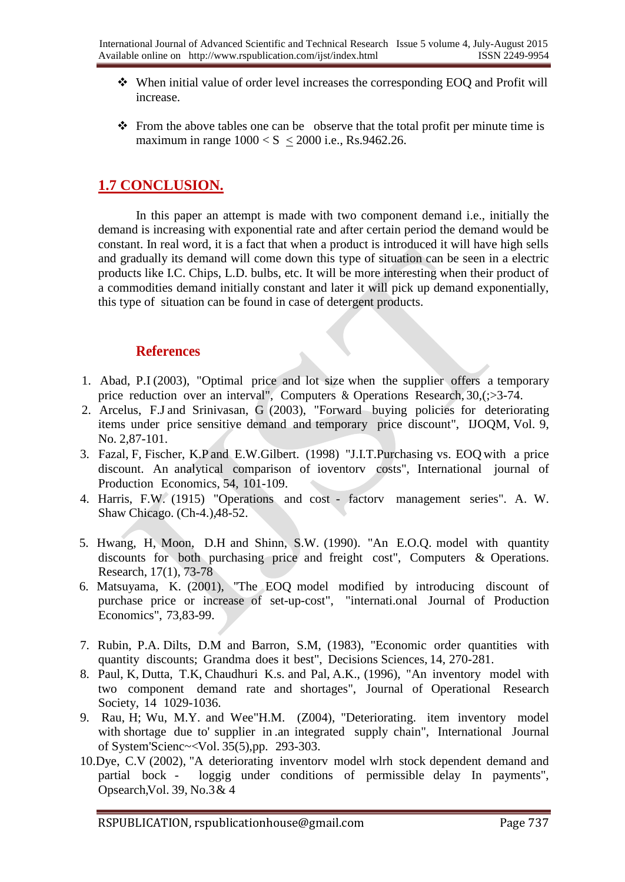- When initial value of order level increases the corresponding EOQ and Profit will increase.
- $\cdot \cdot$  From the above tables one can be observe that the total profit per minute time is maximum in range  $1000 < S < 2000$  i.e., Rs.9462.26.

## **1.7 CONCLUSION.**

In this paper an attempt is made with two component demand i.e., initially the demand is increasing with exponential rate and after certain period the demand would be constant. In real word, it is a fact that when a product is introduced it will have high sells and gradually its demand will come down this type of situation can be seen in a electric products like I.C. Chips, L.D. bulbs, etc. It will be more interesting when their product of a commodities demand initially constant and later it will pick up demand exponentially, this type of situation can be found in case of detergent products.

## **References**

- 1. Abad, P.I (2003), "Optimal price and lot size when the supplier offers a temporary price reduction over an interval", Computers & Operations Research, 30,(;>3-74.
- 2. Arcelus, F.J and Srinivasan, G (2003), "Forward buying policies for deteriorating items under price sensitive demand and temporary price discount", IJOQM, Vol. 9, No. 2,87-101.
- 3. Fazal, F, Fischer, K.P and E.W.Gilbert. (1998) "J.I.T.Purchasing vs. EOQ with a price discount. An analytical comparison of ioventorv costs", International journal of Production Economics, 54, 101-109.
- 4. Harris, F.W. (1915) "Operations and cost factorv management series". A. W. Shaw Chicago. (Ch-4.),48-52.
- 5. Hwang, H, Moon, D.H and Shinn, S.W. (1990). "An E.O.Q. model with quantity discounts for both purchasing price and freight cost", Computers & Operations. Research, 17(1), 73-78
- 6. Matsuyama, K. (2001), ''The EOQ model modified by introducing discount of purchase price or increase of set-up-cost", "internati.onal Journal of Production Economics", 73,83-99.
- 7. Rubin, P.A. Dilts, D.M and Barron, S.M, (1983), "Economic order quantities with quantity discounts; Grandma does it best", Decisions Sciences, 14, 270-281.
- 8. Paul, K, Dutta, T.K, Chaudhuri K.s. and Pal, A.K., (1996), "An inventory model with two component demand rate and shortages", Journal of Operational Research Society, 14 1029-1036.
- 9. Rau, H; Wu, M.Y. and Wee"H.M. (Z004), "Deteriorating. item inventory model with shortage due to' supplier in .an integrated supply chain", International Journal of System'Scienc~<Vol. 35(5),pp. 293-303.
- 10.Dye, C.V (2002), "A deteriorating inventorv model wlrh stock dependent demand and partial bock - loggig under conditions of permissible delay In payments", Opsearch,Vol. 39, No.3& 4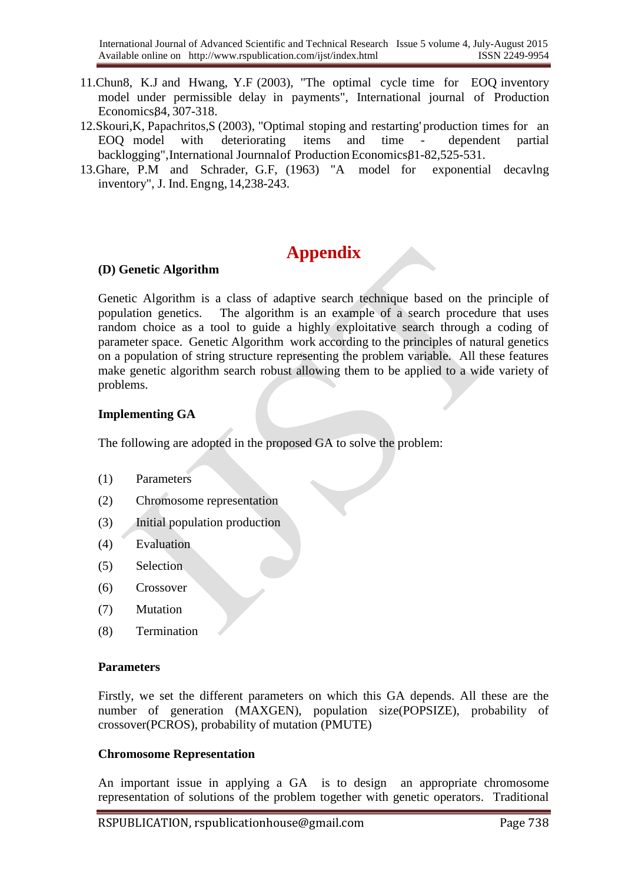- 11.Chun8, K.J and Hwang, Y.F (2003), "The optimal cycle time for EOQ inventory model under permissible delay in payments", International journal of Production Economics,84, 307-318.
- 12.Skouri,K, Papachritos,S (2003), "Optimal stoping and restarting' production times for an EOQ model with deteriorating items and time - dependent partial backlogging", International Journnal of Production Economics 81-82, 525-531.
- 13.Ghare, P.M and Schrader, G.F, (1963) "A model for exponential decavlng inventory", J. Ind.Engng, 14,238-243.

## **Appendix**

#### **(D) Genetic Algorithm**

Genetic Algorithm is a class of adaptive search technique based on the principle of population genetics. The algorithm is an example of a search procedure that uses random choice as a tool to guide a highly exploitative search through a coding of parameter space. Genetic Algorithm work according to the principles of natural genetics on a population of string structure representing the problem variable. All these features make genetic algorithm search robust allowing them to be applied to a wide variety of problems.

#### **Implementing GA**

The following are adopted in the proposed GA to solve the problem:

- (1) Parameters
- (2) Chromosome representation
- (3) Initial population production
- (4) Evaluation
- (5) Selection
- (6) Crossover
- (7) Mutation
- (8) Termination

#### **Parameters**

Firstly, we set the different parameters on which this GA depends. All these are the number of generation (MAXGEN), population size(POPSIZE), probability of crossover(PCROS), probability of mutation (PMUTE)

#### **Chromosome Representation**

An important issue in applying a GA is to design an appropriate chromosome representation of solutions of the problem together with genetic operators. Traditional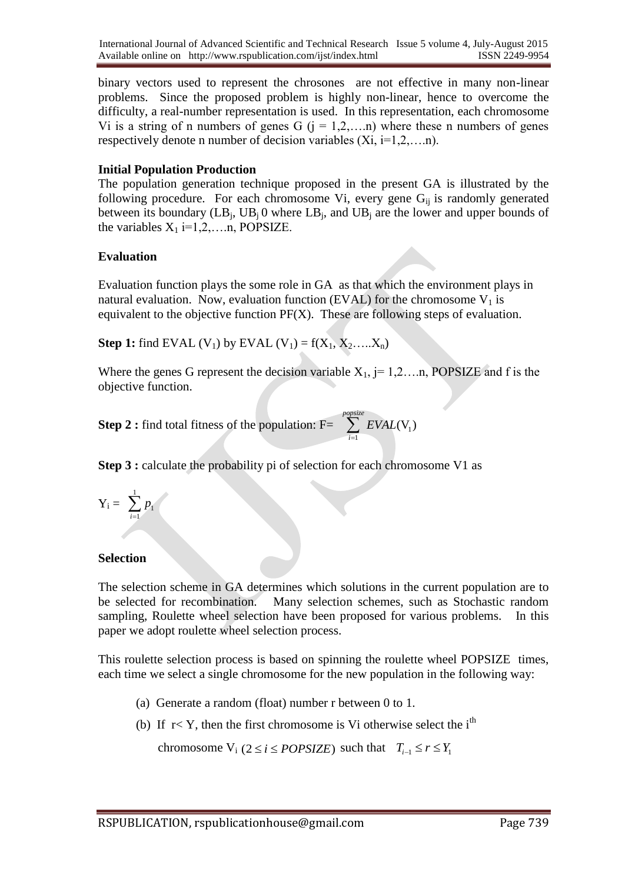binary vectors used to represent the chrosones are not effective in many non-linear problems. Since the proposed problem is highly non-linear, hence to overcome the difficulty, a real-number representation is used. In this representation, each chromosome Vi is a string of n numbers of genes G  $(i = 1, 2, \ldots, n)$  where these n numbers of genes respectively denote n number of decision variables  $(X_i, i=1,2,...n)$ .

#### **Initial Population Production**

The population generation technique proposed in the present GA is illustrated by the following procedure. For each chromosome Vi, every gene  $G_{ii}$  is randomly generated between its boundary  $(LB_j, UB_j 0$  where  $LB_j$ , and  $UB_j$  are the lower and upper bounds of the variables  $X_1$  i=1,2,....n, POPSIZE.

#### **Evaluation**

Evaluation function plays the some role in GA as that which the environment plays in natural evaluation. Now, evaluation function (EVAL) for the chromosome  $V_1$  is equivalent to the objective function PF(X). These are following steps of evaluation.

**Step 1:** find EVAL (V<sub>1</sub>) by EVAL (V<sub>1</sub>) =  $f(X_1, X_2, ..., X_n)$ 

Where the genes G represent the decision variable  $X_1$ , j= 1,2….n, POPSIZE and f is the objective function.

**Step 2 :** find total fitness of the population:  $F = \sum EVAL(V_1)$ 1 popsize<br>*Z EVAL*(V<sub>1</sub>) *i EVAL*  $\sum_{i=1}$ 

**Step 3 :** calculate the probability pi of selection for each chromosome V1 as

$$
Y_i = \sum_{i=1}^1 p_i
$$

#### **Selection**

The selection scheme in GA determines which solutions in the current population are to be selected for recombination. Many selection schemes, such as Stochastic random sampling, Roulette wheel selection have been proposed for various problems. In this paper we adopt roulette wheel selection process.

This roulette selection process is based on spinning the roulette wheel POPSIZE times, each time we select a single chromosome for the new population in the following way:

- (a) Generate a random (float) number r between 0 to 1.
- (b) If  $r < Y$ , then the first chromosome is Vi otherwise select the i<sup>th</sup>

chromosome  $V_i$  ( $2 \le i \le POPSIZE$ ) such that  $T_{i-1} \le r \le Y_1$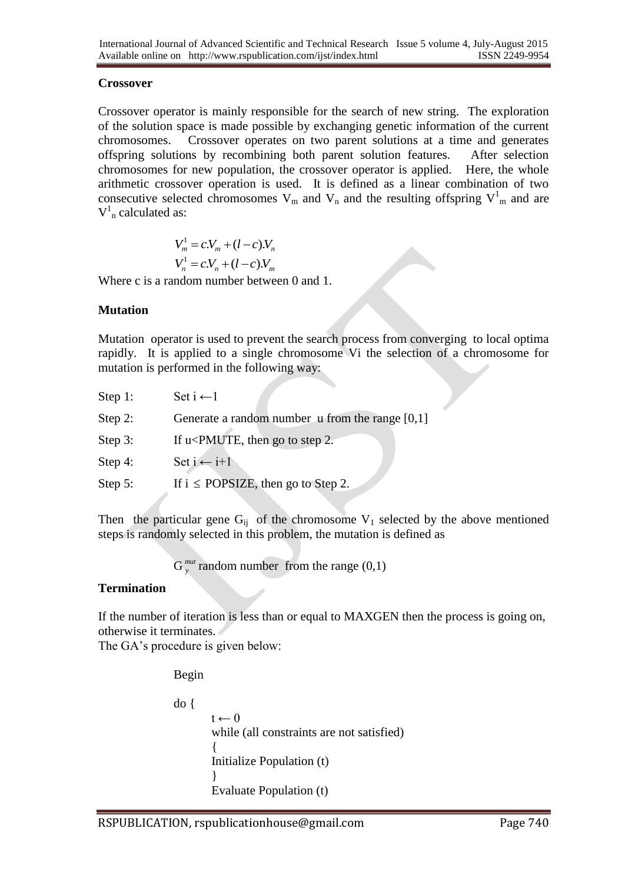#### **Crossover**

Crossover operator is mainly responsible for the search of new string. The exploration of the solution space is made possible by exchanging genetic information of the current chromosomes. Crossover operates on two parent solutions at a time and generates offspring solutions by recombining both parent solution features. After selection chromosomes for new population, the crossover operator is applied. Here, the whole arithmetic crossover operation is used. It is defined as a linear combination of two consecutive selected chromosomes  $V_m$  and  $V_n$  and the resulting offspring  $V^1_m$  and are  $V_{n}^{1}$  calculated as:

$$
V_m^1 = c.V_m + (l - c).V_n
$$
  

$$
V_n^1 = c.V_n + (l - c).V_m
$$

Where c is a random number between 0 and 1.

#### **Mutation**

Mutation operator is used to prevent the search process from converging to local optima rapidly. It is applied to a single chromosome Vi the selection of a chromosome for mutation is performed in the following way:

| Step 1: | Set $i \leftarrow 1$                                            |
|---------|-----------------------------------------------------------------|
| Step 2: | Generate a random number $\mu$ from the range [0,1]             |
| Step 3: | If u <pmute, 2.<="" go="" step="" td="" then="" to=""></pmute,> |
| Step 4: | Set $i \leftarrow i+1$                                          |
| Step 5: | If $i \le POPS$ IZE, then go to Step 2.                         |
|         |                                                                 |

Then the particular gene  $G_{ij}$  of the chromosome  $V_1$  selected by the above mentioned steps is randomly selected in this problem, the mutation is defined as

> G *mut* <sup>*mut</sup>* random number from the range (0,1)</sup>

#### **Termination**

If the number of iteration is less than or equal to MAXGEN then the process is going on, otherwise it terminates.

The GA's procedure is given below:

Begin

```
do {
        t \leftarrow 0while (all constraints are not satisfied)
        {
        Initialize Population (t)
        }
        Evaluate Population (t)
```